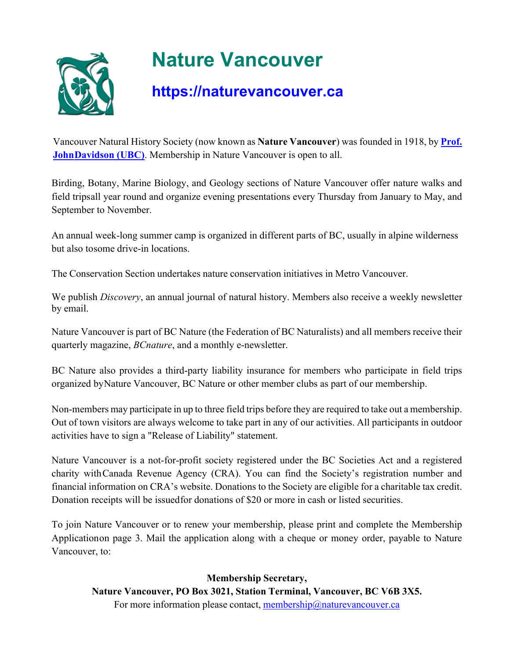

# **Nature Vancouver**

#### **https://naturevancouver.ca**

Vancouver Natural History Society (now known as **Nature Vancouver**) was founded in 1918, by **Prof. JohnDavidson (UBC)**. Membership in Nature Vancouver is open to all.

Birding, Botany, Marine Biology, and Geology sections of Nature Vancouver offer nature walks and field tripsall year round and organize evening presentations every Thursday from January to May, and September to November.

An annual week-long summer camp is organized in different parts of BC, usually in alpine wilderness but also tosome drive-in locations.

The Conservation Section undertakes nature conservation initiatives in Metro Vancouver.

We publish *Discovery*, an annual journal of natural history. Members also receive a weekly newsletter by email.

Nature Vancouver is part of BC Nature (the Federation of BC Naturalists) and all members receive their quarterly magazine, *BCnature*, and a monthly e-newsletter.

BC Nature also provides a third-party liability insurance for members who participate in field trips organized byNature Vancouver, BC Nature or other member clubs as part of our membership.

Non-members may participate in up to three field trips before they are required to take out a membership. Out of town visitors are always welcome to take part in any of our activities. All participants in outdoor activities have to sign a "Release of Liability" statement.

Nature Vancouver is a not-for-profit society registered under the BC Societies Act and a registered charity withCanada Revenue Agency (CRA). You can find the Society's registration number and financial information on CRA's website. Donations to the Society are eligible for a charitable tax credit. Donation receipts will be issuedfor donations of \$20 or more in cash or listed securities.

To join Nature Vancouver or to renew your membership, please print and complete the Membership Applicationon page 3. Mail the application along with a cheque or money order, payable to Nature Vancouver, to:

**Membership Secretary, Nature Vancouver, PO Box 3021, Station Terminal, Vancouver, BC V6B 3X5.** For more information please contact, membership@naturevancouver.ca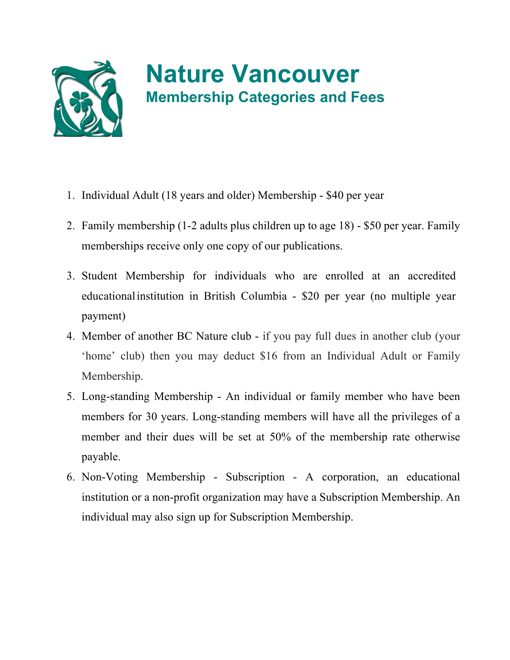

## **Nature Vancouver Membership Categories and Fees**

- 1. Individual Adult (18 years and older) Membership \$40 per year
- 2. Family membership (1-2 adults plus children up to age 18) \$50 per year. Family memberships receive only one copy of our publications.
- 3. Student Membership for individuals who are enrolled at an accredited educationalinstitution in British Columbia - \$20 per year (no multiple year payment)
- 4. Member of another BC Nature club if you pay full dues in another club (your 'home' club) then you may deduct \$16 from an Individual Adult or Family Membership.
- 5. Long-standing Membership An individual or family member who have been members for 30 years. Long-standing members will have all the privileges of a member and their dues will be set at 50% of the membership rate otherwise payable.
- 6. Non-Voting Membership Subscription A corporation, an educational institution or a non-profit organization may have a Subscription Membership. An individual may also sign up for Subscription Membership.